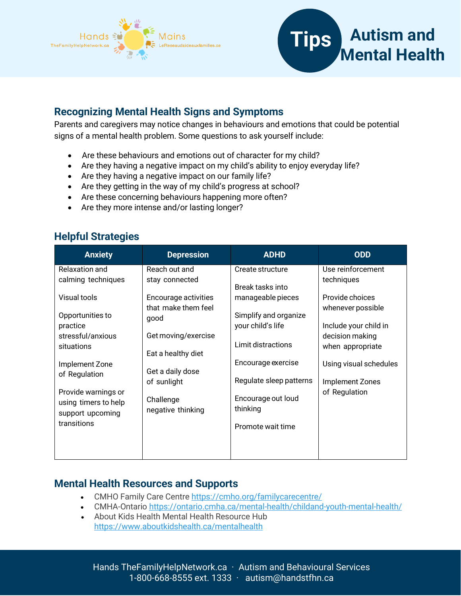



### **Recognizing Mental Health Signs and Symptoms**

Parents and caregivers may notice changes in behaviours and emotions that could be potential signs of a mental health problem. Some questions to ask yourself include:

- Are these behaviours and emotions out of character for my child?
- Are they having a negative impact on my child's ability to enjoy everyday life?
- Are they having a negative impact on our family life?
- Are they getting in the way of my child's progress at school?
- Are these concerning behaviours happening more often?
- Are they more intense and/or lasting longer?

## **Helpful Strategies**

| <b>Anxiety</b>                                                  | <b>Depression</b>              | <b>ADHD</b>                    | <b>ODD</b>             |
|-----------------------------------------------------------------|--------------------------------|--------------------------------|------------------------|
| Relaxation and                                                  | Reach out and                  | Create structure               | Use reinforcement      |
| calming techniques                                              | stay connected                 | Break tasks into               | techniques             |
| Visual tools                                                    | Encourage activities           | manageable pieces              | Provide choices        |
| Opportunities to                                                | that make them feel            | Simplify and organize          | whenever possible      |
| practice                                                        | good                           | your child's life              | Include your child in  |
| stressful/anxious                                               | Get moving/exercise            | Limit distractions             | decision making        |
| situations                                                      | Eat a healthy diet             |                                | when appropriate       |
| Implement Zone                                                  | Get a daily dose               | Encourage exercise             | Using visual schedules |
| of Regulation                                                   | of sunlight                    | Regulate sleep patterns        | Implement Zones        |
| Provide warnings or<br>using timers to help<br>support upcoming | Challenge<br>negative thinking | Encourage out loud<br>thinking | of Regulation          |
| transitions                                                     |                                | Promote wait time              |                        |

## **Mental Health Resources and Supports**

- CMHO Family Care Centre <https://cmho.org/familycarecentre/>
- CMHA-Ontario <https://ontario.cmha.ca/mental-health/childand-youth-mental-health/>
- About Kids Health Mental Health Resource Hub <https://www.aboutkidshealth.ca/mentalhealth>